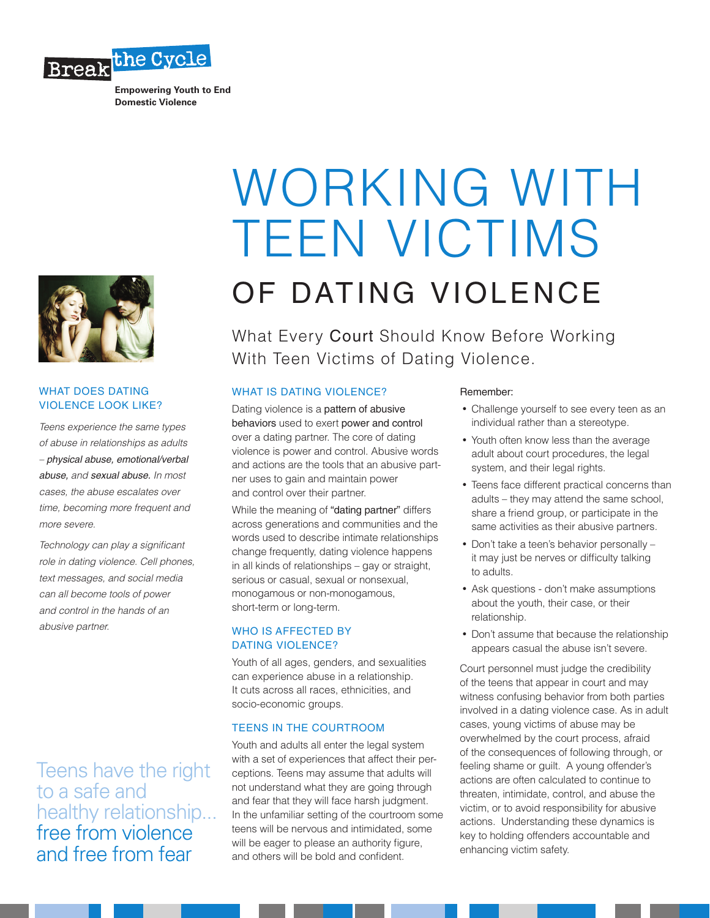

**Empowering Youth to End Domestic Violence**



## WHAT DOES DATING VIOLENCE LOOK LIKE?

*Teens experience the same types of abuse in relationships as adults – physical abuse, emotional/verbal abuse, and sexual abuse. In most cases, the abuse escalates over time, becoming more frequent and more severe.*

*Technology can play a significant role in dating violence. Cell phones, text messages, and social media can all become tools of power and control in the hands of an abusive partner.*

Teens have the right to a safe and healthy relationship... free from violence and free from fear

# WORKING WITH TEEN VICTIMS

OF DATING VIOLENCE

What Every Court Should Know Before Working With Teen Victims of Dating Violence.

# WHAT IS DATING VIOLENCE?

Dating violence is a pattern of abusive behaviors used to exert power and control over a dating partner. The core of dating violence is power and control. Abusive words and actions are the tools that an abusive partner uses to gain and maintain power and control over their partner.

While the meaning of "dating partner" differs across generations and communities and the words used to describe intimate relationships change frequently, dating violence happens in all kinds of relationships – gay or straight, serious or casual, sexual or nonsexual, monogamous or non-monogamous, short-term or long-term.

# WHO IS AFFECTED BY DATING VIOLENCE?

Youth of all ages, genders, and sexualities can experience abuse in a relationship. It cuts across all races, ethnicities, and socio-economic groups.

# TEENS IN THE COURTROOM

Youth and adults all enter the legal system with a set of experiences that affect their perceptions. Teens may assume that adults will not understand what they are going through and fear that they will face harsh judgment. In the unfamiliar setting of the courtroom some teens will be nervous and intimidated, some will be eager to please an authority figure, and others will be bold and confident.

### Remember:

- Challenge yourself to see every teen as an individual rather than a stereotype.
- Youth often know less than the average adult about court procedures, the legal system, and their legal rights.
- Teens face different practical concerns than adults – they may attend the same school, share a friend group, or participate in the same activities as their abusive partners.
- Don't take a teen's behavior personally it may just be nerves or difficulty talking to adults.
- Ask questions don't make assumptions about the youth, their case, or their relationship.
- Don't assume that because the relationship appears casual the abuse isn't severe.

Court personnel must judge the credibility of the teens that appear in court and may witness confusing behavior from both parties involved in a dating violence case. As in adult cases, young victims of abuse may be overwhelmed by the court process, afraid of the consequences of following through, or feeling shame or guilt. A young offender's actions are often calculated to continue to threaten, intimidate, control, and abuse the victim, or to avoid responsibility for abusive actions. Understanding these dynamics is key to holding offenders accountable and enhancing victim safety.